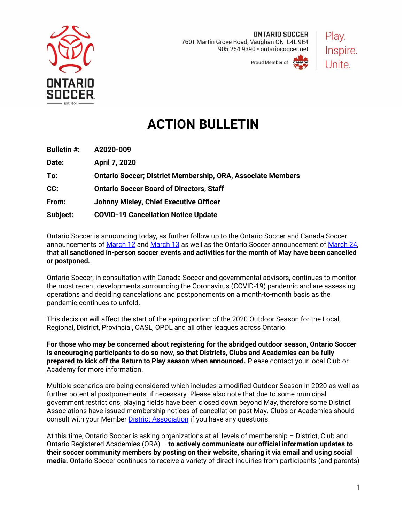



Proud Member of

## **ACTION BULLETIN**

| <b>Bulletin #:</b> | A2020-009                                                          |
|--------------------|--------------------------------------------------------------------|
| Date:              | April 7, 2020                                                      |
| To:                | <b>Ontario Soccer; District Membership, ORA, Associate Members</b> |
| CC:                | <b>Ontario Soccer Board of Directors, Staff</b>                    |
| From:              | Johnny Misley, Chief Executive Officer                             |
| Subject:           | <b>COVID-19 Cancellation Notice Update</b>                         |

Ontario Soccer is announcing today, as further follow up to the Ontario Soccer and Canada Soccer announcements of [March 12](https://cdn2.sportngin.com/attachments/document/d180-2133919/I2020-024_-_Temporary_Shutdown.pdf#_ga=2.171603234.345504880.1584968390-1741546451.1556545180) and [March](https://cdn1.sportngin.com/attachments/document/cf79-2134492/A2020-004_-_Canada_Soccer_COVID19.pdf#_ga=2.171603234.345504880.1584968390-1741546451.1556545180) 13 as well as the Ontario Soccer announcement of [March 24,](https://cdn4.sportngin.com/attachments/document/490c-2140137/A2020-007_-_April_30.pdf#_ga=2.217146399.802863123.1585516006-1741546451.1556545180) that **all sanctioned in-person soccer events and activities for the month of May have been cancelled or postponed.** 

Ontario Soccer, in consultation with Canada Soccer and governmental advisors, continues to monitor the most recent developments surrounding the Coronavirus (COVID-19) pandemic and are assessing operations and deciding cancelations and postponements on a month-to-month basis as the pandemic continues to unfold.

This decision will affect the start of the spring portion of the 2020 Outdoor Season for the Local, Regional, District, Provincial, OASL, OPDL and all other leagues across Ontario.

**For those who may be concerned about registering for the abridged outdoor season, Ontario Soccer is encouraging participants to do so now, so that Districts, Clubs and Academies can be fully prepared to kick off the Return to Play season when announced.** Please contact your local Club or Academy for more information.

Multiple scenarios are being considered which includes a modified Outdoor Season in 2020 as well as further potential postponements, if necessary. Please also note that due to some municipal government restrictions, playing fields have been closed down beyond May, therefore some District Associations have issued membership notices of cancellation past May. Clubs or Academies should consult with your Membe[r District Association](https://www.ontariosoccer.net/district-members) if you have any questions.

At this time, Ontario Soccer is asking organizations at all levels of membership – District, Club and Ontario Registered Academies (ORA) – **to actively communicate our official information updates to their soccer community members by posting on their website, sharing it via email and using social media.** Ontario Soccer continues to receive a variety of direct inquiries from participants (and parents)